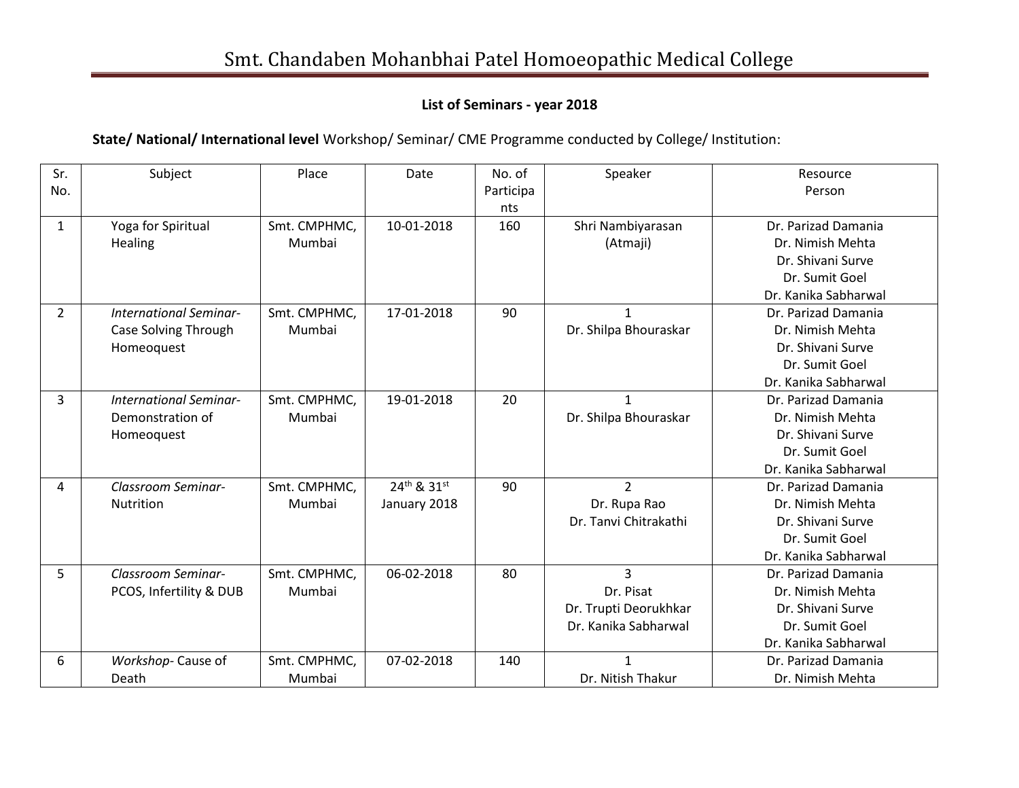## **List of Seminars - year 2018**

**State/ National/ International level** Workshop/ Seminar/ CME Programme conducted by College/ Institution:

| Sr.          | Subject                       | Place        | Date         | No. of    | Speaker               | Resource             |
|--------------|-------------------------------|--------------|--------------|-----------|-----------------------|----------------------|
| No.          |                               |              |              | Participa |                       | Person               |
|              |                               |              |              | nts       |                       |                      |
| $\mathbf{1}$ | Yoga for Spiritual            | Smt. CMPHMC, | 10-01-2018   | 160       | Shri Nambiyarasan     | Dr. Parizad Damania  |
|              | <b>Healing</b>                | Mumbai       |              |           | (Atmaji)              | Dr. Nimish Mehta     |
|              |                               |              |              |           |                       | Dr. Shivani Surve    |
|              |                               |              |              |           |                       | Dr. Sumit Goel       |
|              |                               |              |              |           |                       | Dr. Kanika Sabharwal |
| 2            | <b>International Seminar-</b> | Smt. CMPHMC, | 17-01-2018   | 90        |                       | Dr. Parizad Damania  |
|              | Case Solving Through          | Mumbai       |              |           | Dr. Shilpa Bhouraskar | Dr. Nimish Mehta     |
|              | Homeoquest                    |              |              |           |                       | Dr. Shivani Surve    |
|              |                               |              |              |           |                       | Dr. Sumit Goel       |
|              |                               |              |              |           |                       | Dr. Kanika Sabharwal |
| 3            | International Seminar-        | Smt. CMPHMC, | 19-01-2018   | 20        | $\mathbf{1}$          | Dr. Parizad Damania  |
|              | Demonstration of              | Mumbai       |              |           | Dr. Shilpa Bhouraskar | Dr. Nimish Mehta     |
|              | Homeoquest                    |              |              |           |                       | Dr. Shivani Surve    |
|              |                               |              |              |           |                       | Dr. Sumit Goel       |
|              |                               |              |              |           |                       | Dr. Kanika Sabharwal |
| 4            | Classroom Seminar-            | Smt. CMPHMC, | 24th & 31st  | 90        | $\overline{2}$        | Dr. Parizad Damania  |
|              | Nutrition                     | Mumbai       | January 2018 |           | Dr. Rupa Rao          | Dr. Nimish Mehta     |
|              |                               |              |              |           | Dr. Tanvi Chitrakathi | Dr. Shivani Surve    |
|              |                               |              |              |           |                       | Dr. Sumit Goel       |
|              |                               |              |              |           |                       | Dr. Kanika Sabharwal |
| 5            | Classroom Seminar-            | Smt. CMPHMC, | 06-02-2018   | 80        | $\overline{3}$        | Dr. Parizad Damania  |
|              | PCOS, Infertility & DUB       | Mumbai       |              |           | Dr. Pisat             | Dr. Nimish Mehta     |
|              |                               |              |              |           | Dr. Trupti Deorukhkar | Dr. Shivani Surve    |
|              |                               |              |              |           | Dr. Kanika Sabharwal  | Dr. Sumit Goel       |
|              |                               |              |              |           |                       | Dr. Kanika Sabharwal |
| 6            | Workshop-Cause of             | Smt. CMPHMC, | 07-02-2018   | 140       | $\mathbf{1}$          | Dr. Parizad Damania  |
|              | Death                         | Mumbai       |              |           | Dr. Nitish Thakur     | Dr. Nimish Mehta     |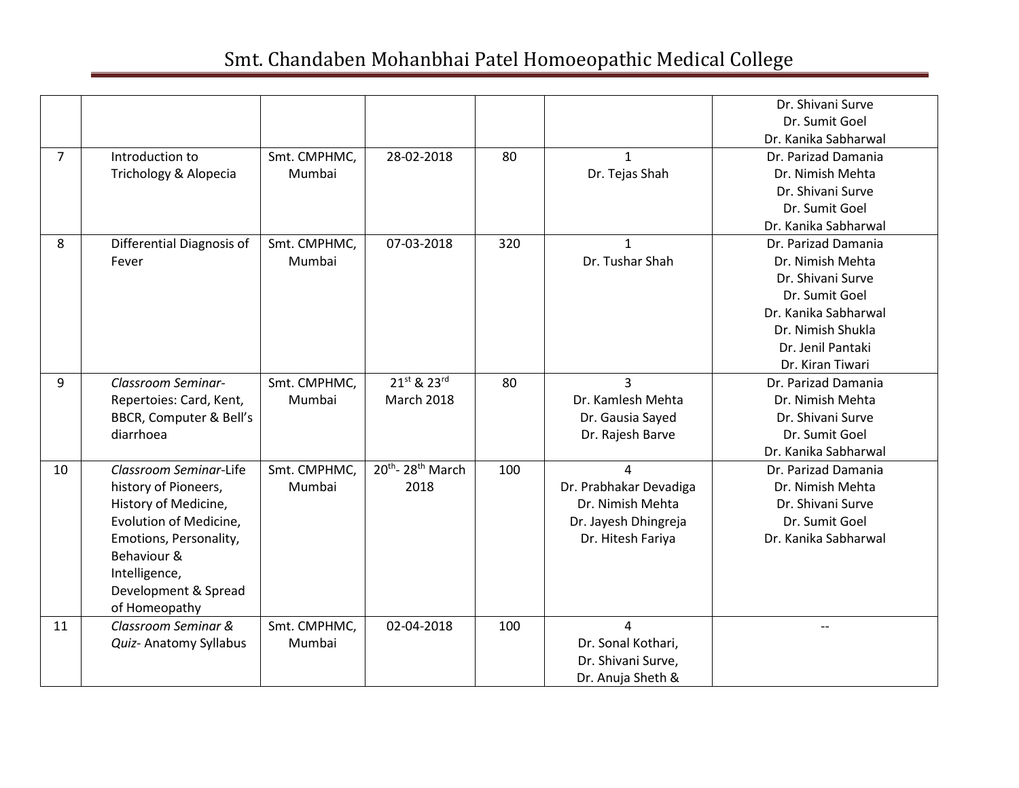|                |                           |              |                                          |     |                        | Dr. Shivani Surve    |
|----------------|---------------------------|--------------|------------------------------------------|-----|------------------------|----------------------|
|                |                           |              |                                          |     |                        | Dr. Sumit Goel       |
|                |                           |              |                                          |     |                        | Dr. Kanika Sabharwal |
| $\overline{7}$ | Introduction to           | Smt. CMPHMC, | 28-02-2018                               | 80  | $\mathbf{1}$           | Dr. Parizad Damania  |
|                | Trichology & Alopecia     | Mumbai       |                                          |     | Dr. Tejas Shah         | Dr. Nimish Mehta     |
|                |                           |              |                                          |     |                        | Dr. Shivani Surve    |
|                |                           |              |                                          |     |                        | Dr. Sumit Goel       |
|                |                           |              |                                          |     |                        | Dr. Kanika Sabharwal |
| 8              | Differential Diagnosis of | Smt. CMPHMC, | 07-03-2018                               | 320 |                        | Dr. Parizad Damania  |
|                | Fever                     | Mumbai       |                                          |     | Dr. Tushar Shah        | Dr. Nimish Mehta     |
|                |                           |              |                                          |     |                        | Dr. Shivani Surve    |
|                |                           |              |                                          |     |                        | Dr. Sumit Goel       |
|                |                           |              |                                          |     |                        | Dr. Kanika Sabharwal |
|                |                           |              |                                          |     |                        | Dr. Nimish Shukla    |
|                |                           |              |                                          |     |                        | Dr. Jenil Pantaki    |
|                |                           |              |                                          |     |                        | Dr. Kiran Tiwari     |
| 9              | Classroom Seminar-        | Smt. CMPHMC, | 21st & 23rd                              | 80  | $\overline{3}$         | Dr. Parizad Damania  |
|                | Repertoies: Card, Kent,   | Mumbai       | <b>March 2018</b>                        |     | Dr. Kamlesh Mehta      | Dr. Nimish Mehta     |
|                | BBCR, Computer & Bell's   |              |                                          |     | Dr. Gausia Sayed       | Dr. Shivani Surve    |
|                | diarrhoea                 |              |                                          |     | Dr. Rajesh Barve       | Dr. Sumit Goel       |
|                |                           |              |                                          |     |                        | Dr. Kanika Sabharwal |
| 10             | Classroom Seminar-Life    | Smt. CMPHMC, | 20 <sup>th</sup> -28 <sup>th</sup> March | 100 | 4                      | Dr. Parizad Damania  |
|                | history of Pioneers,      | Mumbai       | 2018                                     |     | Dr. Prabhakar Devadiga | Dr. Nimish Mehta     |
|                | History of Medicine,      |              |                                          |     | Dr. Nimish Mehta       | Dr. Shivani Surve    |
|                | Evolution of Medicine,    |              |                                          |     | Dr. Jayesh Dhingreja   | Dr. Sumit Goel       |
|                | Emotions, Personality,    |              |                                          |     | Dr. Hitesh Fariya      | Dr. Kanika Sabharwal |
|                | Behaviour &               |              |                                          |     |                        |                      |
|                | Intelligence,             |              |                                          |     |                        |                      |
|                | Development & Spread      |              |                                          |     |                        |                      |
|                | of Homeopathy             |              |                                          |     |                        |                      |
| 11             | Classroom Seminar &       | Smt. CMPHMC, | 02-04-2018                               | 100 | 4                      | --                   |
|                | Quiz- Anatomy Syllabus    | Mumbai       |                                          |     | Dr. Sonal Kothari,     |                      |
|                |                           |              |                                          |     | Dr. Shivani Surve,     |                      |
|                |                           |              |                                          |     | Dr. Anuja Sheth &      |                      |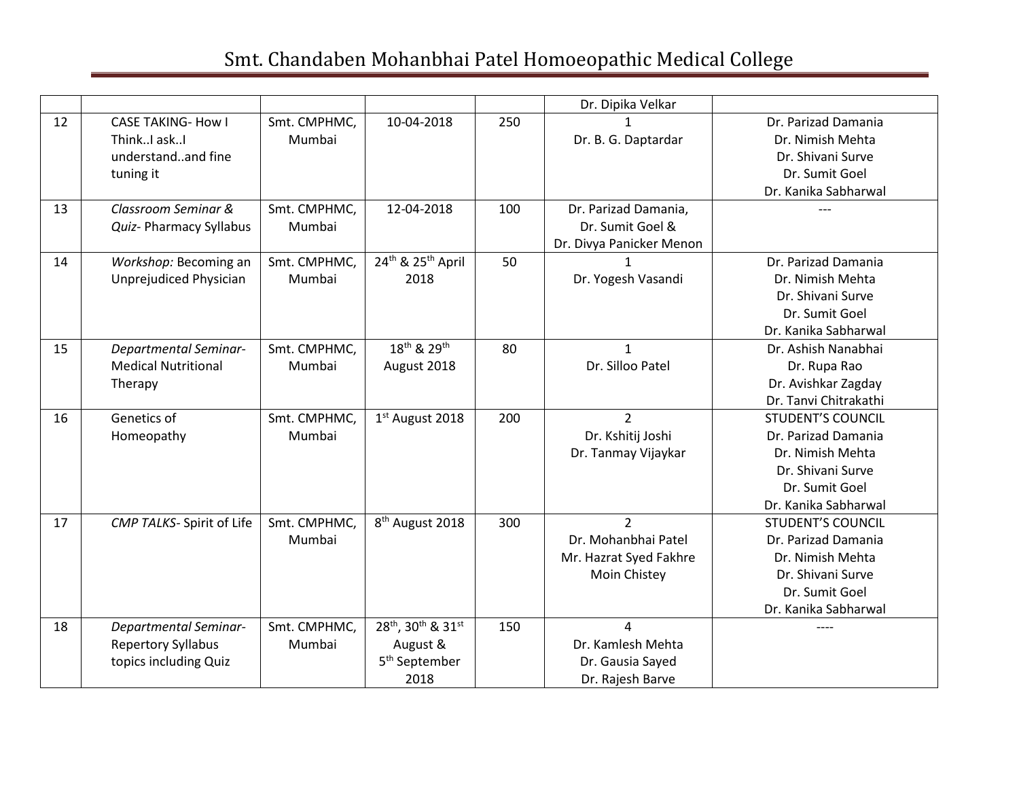|    |                              |              |                                           |     | Dr. Dipika Velkar        |                          |
|----|------------------------------|--------------|-------------------------------------------|-----|--------------------------|--------------------------|
| 12 | <b>CASE TAKING- How I</b>    | Smt. CMPHMC, | 10-04-2018                                | 250 |                          | Dr. Parizad Damania      |
|    | ThinkI askI                  | Mumbai       |                                           |     | Dr. B. G. Daptardar      | Dr. Nimish Mehta         |
|    | understandand fine           |              |                                           |     |                          | Dr. Shivani Surve        |
|    | tuning it                    |              |                                           |     |                          | Dr. Sumit Goel           |
|    |                              |              |                                           |     |                          | Dr. Kanika Sabharwal     |
| 13 | Classroom Seminar &          | Smt. CMPHMC, | 12-04-2018                                | 100 | Dr. Parizad Damania,     |                          |
|    | Quiz- Pharmacy Syllabus      | Mumbai       |                                           |     | Dr. Sumit Goel &         |                          |
|    |                              |              |                                           |     | Dr. Divya Panicker Menon |                          |
| 14 | Workshop: Becoming an        | Smt. CMPHMC, | 24 <sup>th</sup> & 25 <sup>th</sup> April | 50  |                          | Dr. Parizad Damania      |
|    | Unprejudiced Physician       | Mumbai       | 2018                                      |     | Dr. Yogesh Vasandi       | Dr. Nimish Mehta         |
|    |                              |              |                                           |     |                          | Dr. Shivani Surve        |
|    |                              |              |                                           |     |                          | Dr. Sumit Goel           |
|    |                              |              |                                           |     |                          | Dr. Kanika Sabharwal     |
| 15 | <b>Departmental Seminar-</b> | Smt. CMPHMC, | 18 <sup>th</sup> & 29 <sup>th</sup>       | 80  | $\mathbf{1}$             | Dr. Ashish Nanabhai      |
|    | <b>Medical Nutritional</b>   | Mumbai       | August 2018                               |     | Dr. Silloo Patel         | Dr. Rupa Rao             |
|    | Therapy                      |              |                                           |     |                          | Dr. Avishkar Zagday      |
|    |                              |              |                                           |     |                          | Dr. Tanvi Chitrakathi    |
| 16 | Genetics of                  | Smt. CMPHMC, | 1 <sup>st</sup> August 2018               | 200 | $\overline{2}$           | <b>STUDENT'S COUNCIL</b> |
|    | Homeopathy                   | Mumbai       |                                           |     | Dr. Kshitij Joshi        | Dr. Parizad Damania      |
|    |                              |              |                                           |     | Dr. Tanmay Vijaykar      | Dr. Nimish Mehta         |
|    |                              |              |                                           |     |                          | Dr. Shivani Surve        |
|    |                              |              |                                           |     |                          | Dr. Sumit Goel           |
|    |                              |              |                                           |     |                          | Dr. Kanika Sabharwal     |
| 17 | CMP TALKS- Spirit of Life    | Smt. CMPHMC, | 8 <sup>th</sup> August 2018               | 300 | $\overline{2}$           | <b>STUDENT'S COUNCIL</b> |
|    |                              | Mumbai       |                                           |     | Dr. Mohanbhai Patel      | Dr. Parizad Damania      |
|    |                              |              |                                           |     | Mr. Hazrat Syed Fakhre   | Dr. Nimish Mehta         |
|    |                              |              |                                           |     | Moin Chistey             | Dr. Shivani Surve        |
|    |                              |              |                                           |     |                          | Dr. Sumit Goel           |
|    |                              |              |                                           |     |                          | Dr. Kanika Sabharwal     |
| 18 | <b>Departmental Seminar-</b> | Smt. CMPHMC, | 28th, 30th & 31st                         | 150 | 4                        | ----                     |
|    | <b>Repertory Syllabus</b>    | Mumbai       | August &                                  |     | Dr. Kamlesh Mehta        |                          |
|    | topics including Quiz        |              | 5 <sup>th</sup> September                 |     | Dr. Gausia Sayed         |                          |
|    |                              |              | 2018                                      |     | Dr. Rajesh Barve         |                          |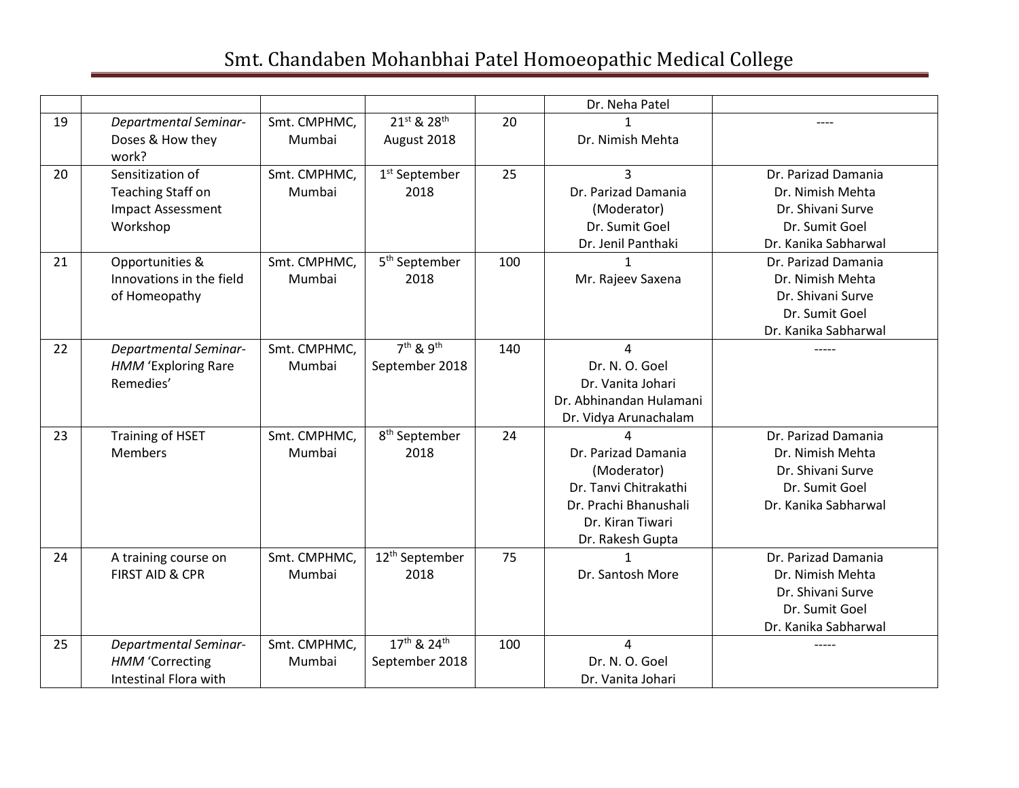|    |                              |              |                                   |     | Dr. Neha Patel          |                      |
|----|------------------------------|--------------|-----------------------------------|-----|-------------------------|----------------------|
| 19 | <b>Departmental Seminar-</b> | Smt. CMPHMC, | 21st & 28th                       | 20  |                         |                      |
|    | Doses & How they<br>work?    | Mumbai       | August 2018                       |     | Dr. Nimish Mehta        |                      |
| 20 | Sensitization of             | Smt. CMPHMC, | 1 <sup>st</sup> September         | 25  | 3                       | Dr. Parizad Damania  |
|    | <b>Teaching Staff on</b>     | Mumbai       | 2018                              |     | Dr. Parizad Damania     | Dr. Nimish Mehta     |
|    | <b>Impact Assessment</b>     |              |                                   |     | (Moderator)             | Dr. Shivani Surve    |
|    | Workshop                     |              |                                   |     | Dr. Sumit Goel          | Dr. Sumit Goel       |
|    |                              |              |                                   |     | Dr. Jenil Panthaki      | Dr. Kanika Sabharwal |
| 21 | Opportunities &              | Smt. CMPHMC, | 5 <sup>th</sup> September         | 100 |                         | Dr. Parizad Damania  |
|    | Innovations in the field     | Mumbai       | 2018                              |     | Mr. Rajeev Saxena       | Dr. Nimish Mehta     |
|    | of Homeopathy                |              |                                   |     |                         | Dr. Shivani Surve    |
|    |                              |              |                                   |     |                         | Dr. Sumit Goel       |
|    |                              |              |                                   |     |                         | Dr. Kanika Sabharwal |
| 22 | <b>Departmental Seminar-</b> | Smt. CMPHMC, | 7 <sup>th</sup> & 9 <sup>th</sup> | 140 | 4                       |                      |
|    | HMM 'Exploring Rare          | Mumbai       | September 2018                    |     | Dr. N. O. Goel          |                      |
|    | Remedies'                    |              |                                   |     | Dr. Vanita Johari       |                      |
|    |                              |              |                                   |     | Dr. Abhinandan Hulamani |                      |
|    |                              |              |                                   |     | Dr. Vidya Arunachalam   |                      |
| 23 | <b>Training of HSET</b>      | Smt. CMPHMC, | 8 <sup>th</sup> September         | 24  |                         | Dr. Parizad Damania  |
|    | <b>Members</b>               | Mumbai       | 2018                              |     | Dr. Parizad Damania     | Dr. Nimish Mehta     |
|    |                              |              |                                   |     | (Moderator)             | Dr. Shivani Surve    |
|    |                              |              |                                   |     | Dr. Tanvi Chitrakathi   | Dr. Sumit Goel       |
|    |                              |              |                                   |     | Dr. Prachi Bhanushali   | Dr. Kanika Sabharwal |
|    |                              |              |                                   |     | Dr. Kiran Tiwari        |                      |
|    |                              |              |                                   |     | Dr. Rakesh Gupta        |                      |
| 24 | A training course on         | Smt. CMPHMC, | 12 <sup>th</sup> September        | 75  | $\mathbf{1}$            | Dr. Parizad Damania  |
|    | <b>FIRST AID &amp; CPR</b>   | Mumbai       | 2018                              |     | Dr. Santosh More        | Dr. Nimish Mehta     |
|    |                              |              |                                   |     |                         | Dr. Shivani Surve    |
|    |                              |              |                                   |     |                         | Dr. Sumit Goel       |
|    |                              |              |                                   |     |                         | Dr. Kanika Sabharwal |
| 25 | <b>Departmental Seminar-</b> | Smt. CMPHMC, | 17th & 24th                       | 100 | 4                       | -----                |
|    | <b>HMM</b> 'Correcting       | Mumbai       | September 2018                    |     | Dr. N. O. Goel          |                      |
|    | <b>Intestinal Flora with</b> |              |                                   |     | Dr. Vanita Johari       |                      |